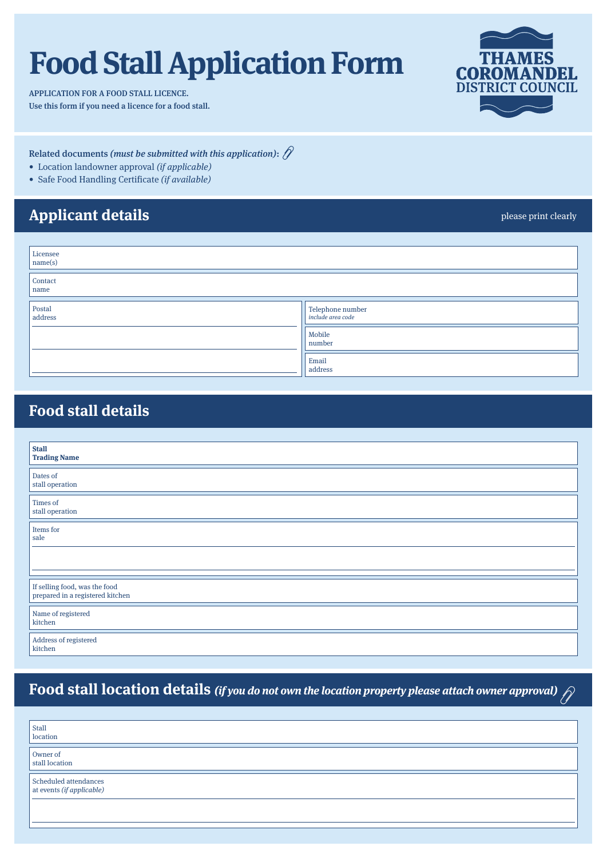# **Food Stall Application Form**

APPLICATION FOR A FOOD STALL LICENCE. Use this form if you need a licence for a food stall.



Related documents (must be submitted with this application):  $\hat{N}$ 

- Location landowner approval (if applicable)
- Safe Food Handling Certificate (if available)

## **Applicant details**

please print clearly

| Licensee<br>name(s) |                                              |  |  |  |
|---------------------|----------------------------------------------|--|--|--|
| Contact<br>name     |                                              |  |  |  |
| Postal<br>address   | Telephone number<br><i>include area code</i> |  |  |  |
|                     | Mobile<br>number                             |  |  |  |
|                     | Email<br>address                             |  |  |  |

#### **Food stall details**

| <b>Stall</b><br><b>Trading Name</b>                               |
|-------------------------------------------------------------------|
| Dates of<br>stall operation                                       |
| Times of<br>stall operation                                       |
| Items for<br>sale                                                 |
|                                                                   |
| If selling food, was the food<br>prepared in a registered kitchen |
| Name of registered<br>kitchen                                     |
| Address of registered<br>kitchen                                  |

# **Food stall location details (if you do not own the location property please attach owner approval)**

| Stall<br>location                                  |
|----------------------------------------------------|
| Owner of<br>stall location                         |
| Scheduled attendances<br>at events (if applicable) |